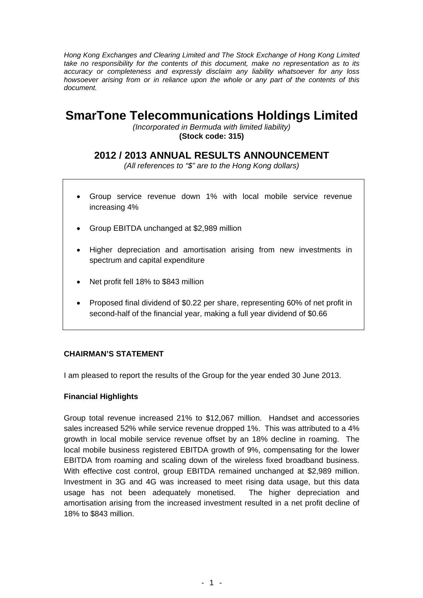*Hong Kong Exchanges and Clearing Limited and The Stock Exchange of Hong Kong Limited take no responsibility for the contents of this document, make no representation as to its accuracy or completeness and expressly disclaim any liability whatsoever for any loss howsoever arising from or in reliance upon the whole or any part of the contents of this document.* 

# **SmarTone Telecommunications Holdings Limited**

*(Incorporated in Bermuda with limited liability)*  **(Stock code: 315)** 

# **2012 / 2013 ANNUAL RESULTS ANNOUNCEMENT**

*(All references to "\$" are to the Hong Kong dollars)* 

- Group service revenue down 1% with local mobile service revenue increasing 4%
- Group EBITDA unchanged at \$2,989 million
- Higher depreciation and amortisation arising from new investments in spectrum and capital expenditure
- Net profit fell 18% to \$843 million
- Proposed final dividend of \$0.22 per share, representing 60% of net profit in second-half of the financial year, making a full year dividend of \$0.66

### **CHAIRMAN'S STATEMENT**

I am pleased to report the results of the Group for the year ended 30 June 2013.

### **Financial Highlights**

Group total revenue increased 21% to \$12,067 million. Handset and accessories sales increased 52% while service revenue dropped 1%. This was attributed to a 4% growth in local mobile service revenue offset by an 18% decline in roaming. The local mobile business registered EBITDA growth of 9%, compensating for the lower EBITDA from roaming and scaling down of the wireless fixed broadband business. With effective cost control, group EBITDA remained unchanged at \$2,989 million. Investment in 3G and 4G was increased to meet rising data usage, but this data usage has not been adequately monetised. The higher depreciation and amortisation arising from the increased investment resulted in a net profit decline of 18% to \$843 million.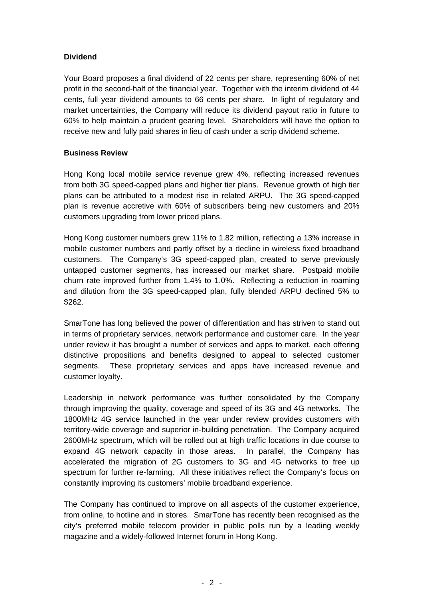### **Dividend**

Your Board proposes a final dividend of 22 cents per share, representing 60% of net profit in the second-half of the financial year. Together with the interim dividend of 44 cents, full year dividend amounts to 66 cents per share. In light of regulatory and market uncertainties, the Company will reduce its dividend payout ratio in future to 60% to help maintain a prudent gearing level. Shareholders will have the option to receive new and fully paid shares in lieu of cash under a scrip dividend scheme.

### **Business Review**

Hong Kong local mobile service revenue grew 4%, reflecting increased revenues from both 3G speed-capped plans and higher tier plans. Revenue growth of high tier plans can be attributed to a modest rise in related ARPU. The 3G speed-capped plan is revenue accretive with 60% of subscribers being new customers and 20% customers upgrading from lower priced plans.

Hong Kong customer numbers grew 11% to 1.82 million, reflecting a 13% increase in mobile customer numbers and partly offset by a decline in wireless fixed broadband customers. The Company's 3G speed-capped plan, created to serve previously untapped customer segments, has increased our market share. Postpaid mobile churn rate improved further from 1.4% to 1.0%. Reflecting a reduction in roaming and dilution from the 3G speed-capped plan, fully blended ARPU declined 5% to \$262.

SmarTone has long believed the power of differentiation and has striven to stand out in terms of proprietary services, network performance and customer care. In the year under review it has brought a number of services and apps to market, each offering distinctive propositions and benefits designed to appeal to selected customer segments. These proprietary services and apps have increased revenue and customer loyalty.

Leadership in network performance was further consolidated by the Company through improving the quality, coverage and speed of its 3G and 4G networks. The 1800MHz 4G service launched in the year under review provides customers with territory-wide coverage and superior in-building penetration. The Company acquired 2600MHz spectrum, which will be rolled out at high traffic locations in due course to expand 4G network capacity in those areas. In parallel, the Company has accelerated the migration of 2G customers to 3G and 4G networks to free up spectrum for further re-farming. All these initiatives reflect the Company's focus on constantly improving its customers' mobile broadband experience.

The Company has continued to improve on all aspects of the customer experience, from online, to hotline and in stores. SmarTone has recently been recognised as the city's preferred mobile telecom provider in public polls run by a leading weekly magazine and a widely-followed Internet forum in Hong Kong.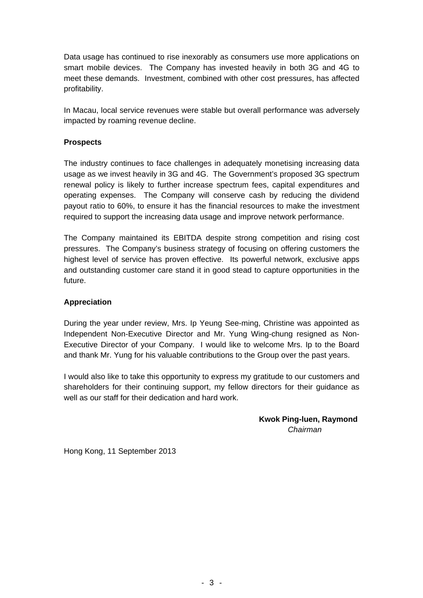Data usage has continued to rise inexorably as consumers use more applications on smart mobile devices. The Company has invested heavily in both 3G and 4G to meet these demands. Investment, combined with other cost pressures, has affected profitability.

In Macau, local service revenues were stable but overall performance was adversely impacted by roaming revenue decline.

### **Prospects**

The industry continues to face challenges in adequately monetising increasing data usage as we invest heavily in 3G and 4G. The Government's proposed 3G spectrum renewal policy is likely to further increase spectrum fees, capital expenditures and operating expenses. The Company will conserve cash by reducing the dividend payout ratio to 60%, to ensure it has the financial resources to make the investment required to support the increasing data usage and improve network performance.

The Company maintained its EBITDA despite strong competition and rising cost pressures. The Company's business strategy of focusing on offering customers the highest level of service has proven effective. Its powerful network, exclusive apps and outstanding customer care stand it in good stead to capture opportunities in the future.

### **Appreciation**

During the year under review, Mrs. Ip Yeung See-ming, Christine was appointed as Independent Non-Executive Director and Mr. Yung Wing-chung resigned as Non-Executive Director of your Company. I would like to welcome Mrs. Ip to the Board and thank Mr. Yung for his valuable contributions to the Group over the past years.

I would also like to take this opportunity to express my gratitude to our customers and shareholders for their continuing support, my fellow directors for their guidance as well as our staff for their dedication and hard work.

> **Kwok Ping-luen, Raymond**  *Chairman*

Hong Kong, 11 September 2013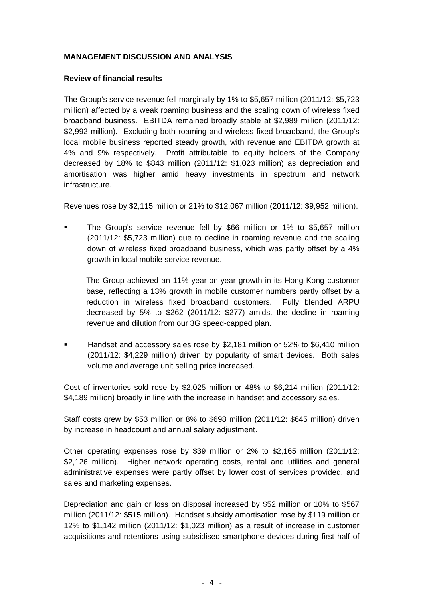### **MANAGEMENT DISCUSSION AND ANALYSIS**

### **Review of financial results**

The Group's service revenue fell marginally by 1% to \$5,657 million (2011/12: \$5,723 million) affected by a weak roaming business and the scaling down of wireless fixed broadband business. EBITDA remained broadly stable at \$2,989 million (2011/12: \$2,992 million). Excluding both roaming and wireless fixed broadband, the Group's local mobile business reported steady growth, with revenue and EBITDA growth at 4% and 9% respectively. Profit attributable to equity holders of the Company decreased by 18% to \$843 million (2011/12: \$1,023 million) as depreciation and amortisation was higher amid heavy investments in spectrum and network infrastructure.

Revenues rose by \$2,115 million or 21% to \$12,067 million (2011/12: \$9,952 million).

 The Group's service revenue fell by \$66 million or 1% to \$5,657 million (2011/12: \$5,723 million) due to decline in roaming revenue and the scaling down of wireless fixed broadband business, which was partly offset by a 4% growth in local mobile service revenue.

The Group achieved an 11% year-on-year growth in its Hong Kong customer base, reflecting a 13% growth in mobile customer numbers partly offset by a reduction in wireless fixed broadband customers. Fully blended ARPU decreased by 5% to \$262 (2011/12: \$277) amidst the decline in roaming revenue and dilution from our 3G speed-capped plan.

 Handset and accessory sales rose by \$2,181 million or 52% to \$6,410 million (2011/12: \$4,229 million) driven by popularity of smart devices. Both sales volume and average unit selling price increased.

Cost of inventories sold rose by \$2,025 million or 48% to \$6,214 million (2011/12: \$4,189 million) broadly in line with the increase in handset and accessory sales.

Staff costs grew by \$53 million or 8% to \$698 million (2011/12: \$645 million) driven by increase in headcount and annual salary adjustment.

Other operating expenses rose by \$39 million or 2% to \$2,165 million (2011/12: \$2,126 million). Higher network operating costs, rental and utilities and general administrative expenses were partly offset by lower cost of services provided, and sales and marketing expenses.

Depreciation and gain or loss on disposal increased by \$52 million or 10% to \$567 million (2011/12: \$515 million). Handset subsidy amortisation rose by \$119 million or 12% to \$1,142 million (2011/12: \$1,023 million) as a result of increase in customer acquisitions and retentions using subsidised smartphone devices during first half of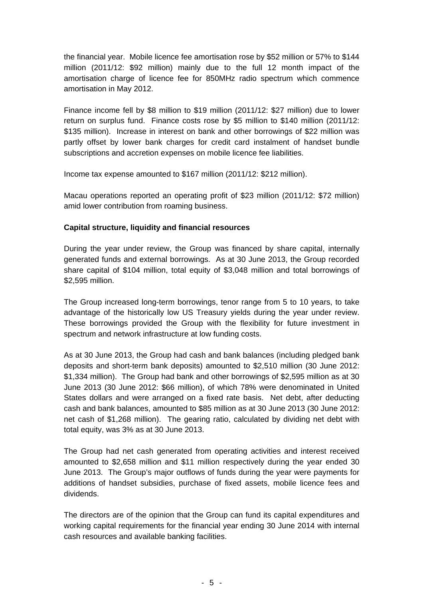the financial year. Mobile licence fee amortisation rose by \$52 million or 57% to \$144 million (2011/12: \$92 million) mainly due to the full 12 month impact of the amortisation charge of licence fee for 850MHz radio spectrum which commence amortisation in May 2012.

Finance income fell by \$8 million to \$19 million (2011/12: \$27 million) due to lower return on surplus fund. Finance costs rose by \$5 million to \$140 million (2011/12: \$135 million). Increase in interest on bank and other borrowings of \$22 million was partly offset by lower bank charges for credit card instalment of handset bundle subscriptions and accretion expenses on mobile licence fee liabilities.

Income tax expense amounted to \$167 million (2011/12: \$212 million).

Macau operations reported an operating profit of \$23 million (2011/12: \$72 million) amid lower contribution from roaming business.

### **Capital structure, liquidity and financial resources**

During the year under review, the Group was financed by share capital, internally generated funds and external borrowings. As at 30 June 2013, the Group recorded share capital of \$104 million, total equity of \$3,048 million and total borrowings of \$2,595 million.

The Group increased long-term borrowings, tenor range from 5 to 10 years, to take advantage of the historically low US Treasury yields during the year under review. These borrowings provided the Group with the flexibility for future investment in spectrum and network infrastructure at low funding costs.

As at 30 June 2013, the Group had cash and bank balances (including pledged bank deposits and short-term bank deposits) amounted to \$2,510 million (30 June 2012: \$1,334 million). The Group had bank and other borrowings of \$2,595 million as at 30 June 2013 (30 June 2012: \$66 million), of which 78% were denominated in United States dollars and were arranged on a fixed rate basis. Net debt, after deducting cash and bank balances, amounted to \$85 million as at 30 June 2013 (30 June 2012: net cash of \$1,268 million). The gearing ratio, calculated by dividing net debt with total equity, was 3% as at 30 June 2013.

The Group had net cash generated from operating activities and interest received amounted to \$2,658 million and \$11 million respectively during the year ended 30 June 2013. The Group's major outflows of funds during the year were payments for additions of handset subsidies, purchase of fixed assets, mobile licence fees and dividends.

The directors are of the opinion that the Group can fund its capital expenditures and working capital requirements for the financial year ending 30 June 2014 with internal cash resources and available banking facilities.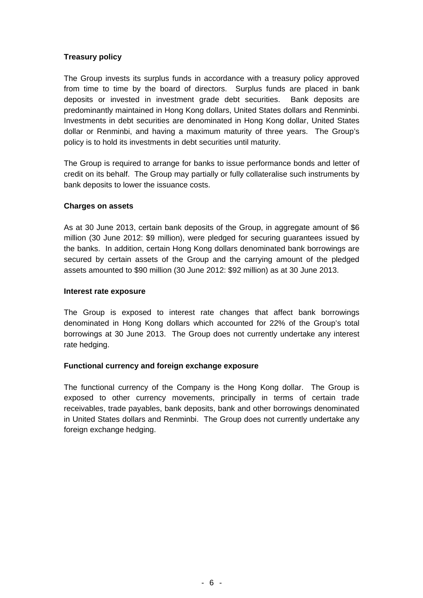### **Treasury policy**

The Group invests its surplus funds in accordance with a treasury policy approved from time to time by the board of directors. Surplus funds are placed in bank deposits or invested in investment grade debt securities. Bank deposits are predominantly maintained in Hong Kong dollars, United States dollars and Renminbi. Investments in debt securities are denominated in Hong Kong dollar, United States dollar or Renminbi, and having a maximum maturity of three years. The Group's policy is to hold its investments in debt securities until maturity.

The Group is required to arrange for banks to issue performance bonds and letter of credit on its behalf. The Group may partially or fully collateralise such instruments by bank deposits to lower the issuance costs.

### **Charges on assets**

As at 30 June 2013, certain bank deposits of the Group, in aggregate amount of \$6 million (30 June 2012: \$9 million), were pledged for securing guarantees issued by the banks. In addition, certain Hong Kong dollars denominated bank borrowings are secured by certain assets of the Group and the carrying amount of the pledged assets amounted to \$90 million (30 June 2012: \$92 million) as at 30 June 2013.

#### **Interest rate exposure**

The Group is exposed to interest rate changes that affect bank borrowings denominated in Hong Kong dollars which accounted for 22% of the Group's total borrowings at 30 June 2013. The Group does not currently undertake any interest rate hedging.

### **Functional currency and foreign exchange exposure**

The functional currency of the Company is the Hong Kong dollar. The Group is exposed to other currency movements, principally in terms of certain trade receivables, trade payables, bank deposits, bank and other borrowings denominated in United States dollars and Renminbi. The Group does not currently undertake any foreign exchange hedging.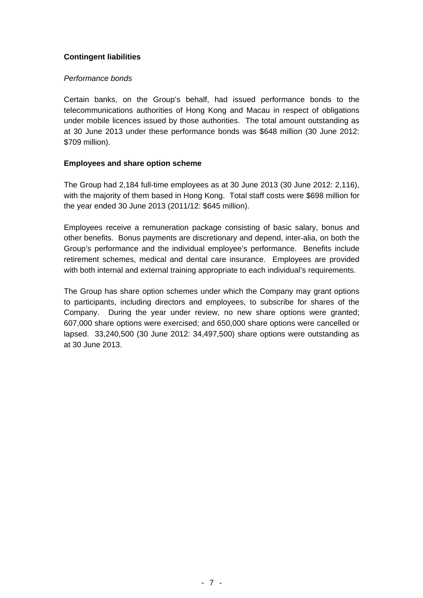### **Contingent liabilities**

### *Performance bonds*

Certain banks, on the Group's behalf, had issued performance bonds to the telecommunications authorities of Hong Kong and Macau in respect of obligations under mobile licences issued by those authorities. The total amount outstanding as at 30 June 2013 under these performance bonds was \$648 million (30 June 2012: \$709 million).

### **Employees and share option scheme**

The Group had 2,184 full-time employees as at 30 June 2013 (30 June 2012: 2,116), with the majority of them based in Hong Kong. Total staff costs were \$698 million for the year ended 30 June 2013 (2011/12: \$645 million).

Employees receive a remuneration package consisting of basic salary, bonus and other benefits. Bonus payments are discretionary and depend, inter-alia, on both the Group's performance and the individual employee's performance. Benefits include retirement schemes, medical and dental care insurance. Employees are provided with both internal and external training appropriate to each individual's requirements.

The Group has share option schemes under which the Company may grant options to participants, including directors and employees, to subscribe for shares of the Company. During the year under review, no new share options were granted; 607,000 share options were exercised; and 650,000 share options were cancelled or lapsed. 33,240,500 (30 June 2012: 34,497,500) share options were outstanding as at 30 June 2013.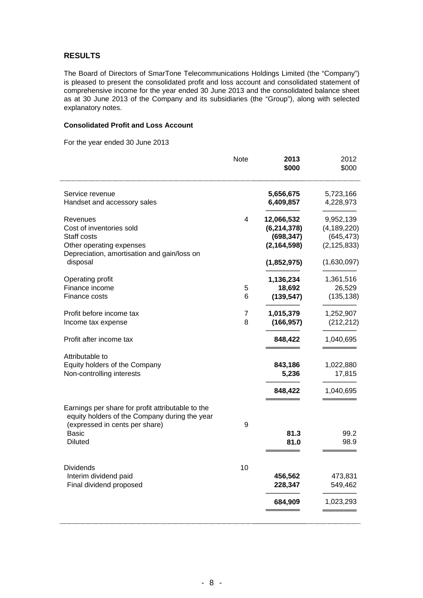#### **RESULTS**

The Board of Directors of SmarTone Telecommunications Holdings Limited (the "Company") is pleased to present the consolidated profit and loss account and consolidated statement of comprehensive income for the year ended 30 June 2013 and the consolidated balance sheet as at 30 June 2013 of the Company and its subsidiaries (the "Group"), along with selected explanatory notes.

### **Consolidated Profit and Loss Account**

For the year ended 30 June 2013

|                                                                                 | <b>Note</b> | 2013<br>\$000 | 2012<br>\$000 |
|---------------------------------------------------------------------------------|-------------|---------------|---------------|
| Service revenue                                                                 |             | 5,656,675     | 5,723,166     |
| Handset and accessory sales                                                     |             | 6,409,857     | 4,228,973     |
| Revenues                                                                        | 4           | 12,066,532    | 9,952,139     |
| Cost of inventories sold                                                        |             | (6, 214, 378) | (4, 189, 220) |
| Staff costs                                                                     |             | (698, 347)    | (645, 473)    |
| Other operating expenses                                                        |             | (2, 164, 598) | (2, 125, 833) |
| Depreciation, amortisation and gain/loss on<br>disposal                         |             | (1,852,975)   | (1,630,097)   |
| Operating profit                                                                |             | 1,136,234     | 1,361,516     |
| Finance income                                                                  | 5           | 18,692        | 26,529        |
| Finance costs                                                                   | 6           | (139, 547)    | (135, 138)    |
| Profit before income tax                                                        | 7           | 1,015,379     | 1,252,907     |
| Income tax expense                                                              | 8           | (166, 957)    | (212, 212)    |
| Profit after income tax                                                         |             | 848,422       | 1,040,695     |
| Attributable to                                                                 |             |               |               |
| Equity holders of the Company                                                   |             | 843,186       | 1,022,880     |
| Non-controlling interests                                                       |             | 5,236         | 17,815        |
|                                                                                 |             | 848,422       | 1,040,695     |
| Earnings per share for profit attributable to the                               |             |               |               |
| equity holders of the Company during the year<br>(expressed in cents per share) | 9           |               |               |
| <b>Basic</b>                                                                    |             | 81.3          | 99.2          |
| <b>Diluted</b>                                                                  |             | 81.0          | 98.9          |
|                                                                                 |             |               |               |
| Dividends<br>Interim dividend paid                                              | 10          | 456,562       | 473,831       |
| Final dividend proposed                                                         |             | 228,347       | 549,462       |
|                                                                                 |             | 684,909       | 1,023,293     |
|                                                                                 |             |               |               |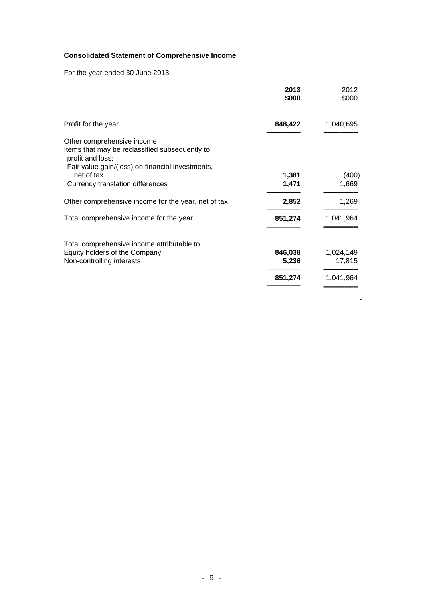# **Consolidated Statement of Comprehensive Income**

For the year ended 30 June 2013

| 2013<br>\$000 | 2012<br>\$000 |
|---------------|---------------|
| 848,422       | 1,040,695     |
|               |               |
|               | (400)         |
| 1,471         | 1,669         |
| 2,852         | 1,269         |
| 851,274       | 1,041,964     |
|               |               |
| 846,038       | 1,024,149     |
| 5,236         | 17,815        |
| 851,274       | 1,041,964     |
|               | 1,381         |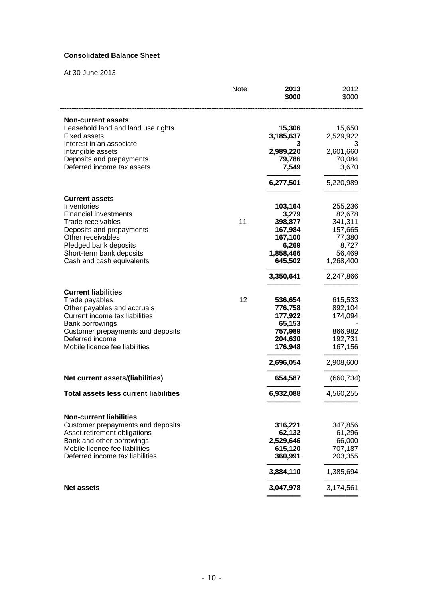### **Consolidated Balance Sheet**

At 30 June 2013

|                                              | Note | 2013<br>\$000 | 2012<br>\$000 |
|----------------------------------------------|------|---------------|---------------|
| <b>Non-current assets</b>                    |      |               |               |
| Leasehold land and land use rights           |      | 15,306        | 15,650        |
| <b>Fixed assets</b>                          |      | 3,185,637     | 2,529,922     |
| Interest in an associate                     |      | 3             | 3             |
| Intangible assets                            |      | 2,989,220     | 2,601,660     |
| Deposits and prepayments                     |      | 79,786        | 70,084        |
| Deferred income tax assets                   |      | 7,549         | 3,670         |
|                                              |      | 6,277,501     | 5,220,989     |
| <b>Current assets</b>                        |      |               |               |
| Inventories                                  |      | 103,164       | 255,236       |
| <b>Financial investments</b>                 |      | 3,279         | 82,678        |
| Trade receivables                            | 11   | 398,877       | 341,311       |
| Deposits and prepayments                     |      | 167,984       | 157,665       |
| Other receivables                            |      | 167,100       | 77,380        |
| Pledged bank deposits                        |      | 6,269         | 8,727         |
| Short-term bank deposits                     |      | 1,858,466     | 56,469        |
| Cash and cash equivalents                    |      | 645,502       | 1,268,400     |
|                                              |      | 3,350,641     | 2,247,866     |
| <b>Current liabilities</b>                   |      |               |               |
| Trade payables                               | 12   | 536,654       | 615,533       |
| Other payables and accruals                  |      | 776,758       | 892,104       |
| Current income tax liabilities               |      | 177,922       | 174,094       |
| Bank borrowings                              |      | 65,153        |               |
| Customer prepayments and deposits            |      | 757,989       | 866,982       |
| Deferred income                              |      | 204,630       | 192,731       |
| Mobile licence fee liabilities               |      | 176,948       | 167,156       |
|                                              |      | 2,696,054     | 2,908,600     |
| Net current assets/(liabilities)             |      | 654,587       | (660, 734)    |
| <b>Total assets less current liabilities</b> |      | 6,932,088     | 4,560,255     |
| <b>Non-current liabilities</b>               |      |               |               |
| Customer prepayments and deposits            |      | 316,221       | 347,856       |
| Asset retirement obligations                 |      | 62,132        | 61,296        |
| Bank and other borrowings                    |      | 2,529,646     | 66,000        |
| Mobile licence fee liabilities               |      | 615,120       | 707,187       |
|                                              |      | 360,991       | 203,355       |
| Deferred income tax liabilities              |      |               |               |
|                                              |      | 3,884,110     | 1,385,694     |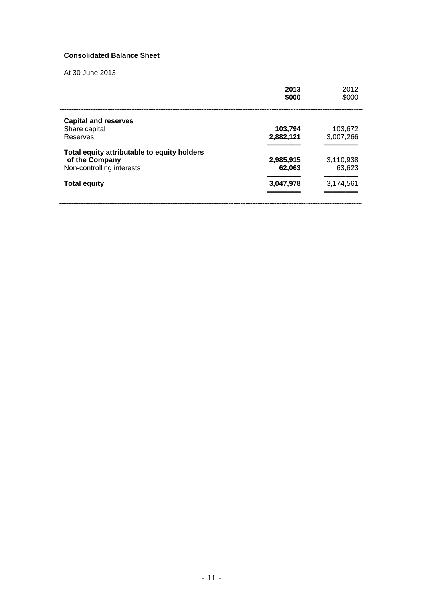### **Consolidated Balance Sheet**

At 30 June 2013

|                                             | 2013<br>\$000 | 2012<br>\$000 |
|---------------------------------------------|---------------|---------------|
| <b>Capital and reserves</b>                 |               |               |
| Share capital                               | 103,794       | 103,672       |
| Reserves                                    | 2,882,121     | 3,007,266     |
| Total equity attributable to equity holders |               |               |
| of the Company                              | 2,985,915     | 3,110,938     |
| Non-controlling interests                   | 62.063        | 63,623        |
| <b>Total equity</b>                         | 3,047,978     | 3,174,561     |
|                                             |               |               |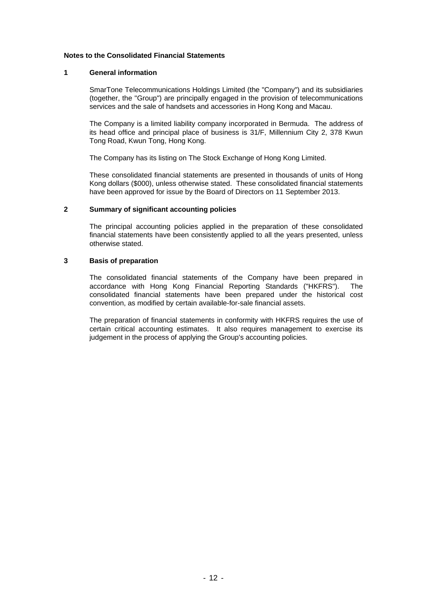#### **Notes to the Consolidated Financial Statements**

#### **1 General information**

SmarTone Telecommunications Holdings Limited (the "Company") and its subsidiaries (together, the "Group") are principally engaged in the provision of telecommunications services and the sale of handsets and accessories in Hong Kong and Macau.

The Company is a limited liability company incorporated in Bermuda. The address of its head office and principal place of business is 31/F, Millennium City 2, 378 Kwun Tong Road, Kwun Tong, Hong Kong.

The Company has its listing on The Stock Exchange of Hong Kong Limited.

These consolidated financial statements are presented in thousands of units of Hong Kong dollars (\$000), unless otherwise stated. These consolidated financial statements have been approved for issue by the Board of Directors on 11 September 2013.

#### **2 Summary of significant accounting policies**

The principal accounting policies applied in the preparation of these consolidated financial statements have been consistently applied to all the years presented, unless otherwise stated.

#### **3 Basis of preparation**

The consolidated financial statements of the Company have been prepared in accordance with Hong Kong Financial Reporting Standards ("HKFRS"). The consolidated financial statements have been prepared under the historical cost convention, as modified by certain available-for-sale financial assets.

The preparation of financial statements in conformity with HKFRS requires the use of certain critical accounting estimates. It also requires management to exercise its judgement in the process of applying the Group's accounting policies.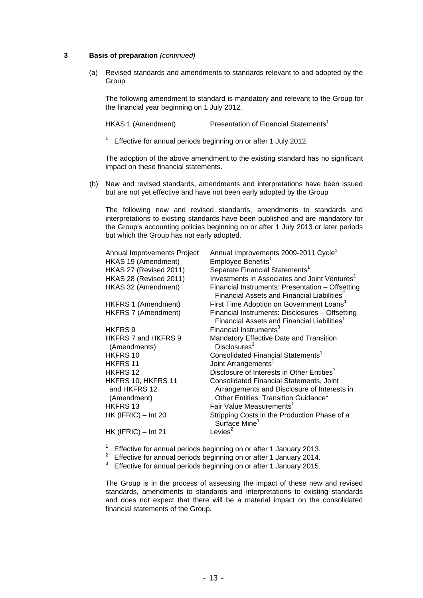#### **3 Basis of preparation** *(continued)*

 (a) Revised standards and amendments to standards relevant to and adopted by the Group

The following amendment to standard is mandatory and relevant to the Group for the financial year beginning on 1 July 2012.

HKAS 1 (Amendment) Presentation of Financial Statements<sup>1</sup>

 $1$  Effective for annual periods beginning on or after 1 July 2012.

The adoption of the above amendment to the existing standard has no significant impact on these financial statements.

(b) New and revised standards, amendments and interpretations have been issued but are not yet effective and have not been early adopted by the Group

The following new and revised standards, amendments to standards and interpretations to existing standards have been published and are mandatory for the Group's accounting policies beginning on or after 1 July 2013 or later periods but which the Group has not early adopted.

| Annual Improvements Project                       | Annual Improvements 2009-2011 Cycle <sup>1</sup>                                                                                            |
|---------------------------------------------------|---------------------------------------------------------------------------------------------------------------------------------------------|
| HKAS 19 (Amendment)                               | Employee Benefits <sup>1</sup>                                                                                                              |
| HKAS 27 (Revised 2011)                            | Separate Financial Statements <sup>1</sup>                                                                                                  |
| HKAS 28 (Revised 2011)                            | Investments in Associates and Joint Ventures <sup>1</sup>                                                                                   |
| HKAS 32 (Amendment)                               | Financial Instruments: Presentation - Offsetting<br>Financial Assets and Financial Liabilities <sup>2</sup>                                 |
| HKFRS 1 (Amendment)                               | First Time Adoption on Government Loans <sup>1</sup>                                                                                        |
| HKFRS 7 (Amendment)                               | Financial Instruments: Disclosures - Offsetting<br>Financial Assets and Financial Liabilities <sup>1</sup>                                  |
| HKFRS <sub>9</sub>                                | Financial Instruments <sup>3</sup>                                                                                                          |
| HKFRS 7 and HKFRS 9<br>(Amendments)               | Mandatory Effective Date and Transition<br>Disclosures <sup>3</sup>                                                                         |
| HKFRS 10                                          | Consolidated Financial Statements <sup>1</sup>                                                                                              |
| <b>HKFRS 11</b>                                   | Joint Arrangements <sup>1</sup>                                                                                                             |
| <b>HKFRS 12</b>                                   | Disclosure of Interests in Other Entities <sup>1</sup>                                                                                      |
| HKFRS 10, HKFRS 11<br>and HKFRS 12<br>(Amendment) | Consolidated Financial Statements, Joint<br>Arrangements and Disclosure of Interests in<br>Other Entities: Transition Guidance <sup>1</sup> |
| HKFRS 13                                          | Fair Value Measurements <sup>1</sup>                                                                                                        |
| $HK$ (IFRIC) $-$ Int 20                           | Stripping Costs in the Production Phase of a<br>Surface Mine <sup>1</sup>                                                                   |
| $HK$ (IFRIC) – Int 21                             | Levies <sup>2</sup>                                                                                                                         |
|                                                   |                                                                                                                                             |

- <sup>1</sup> Effective for annual periods beginning on or after 1 January 2013.
- 2 Effective for annual periods beginning on or after 1 January 2014.
- Effective for annual periods beginning on or after 1 January 2015.

The Group is in the process of assessing the impact of these new and revised standards, amendments to standards and interpretations to existing standards and does not expect that there will be a material impact on the consolidated financial statements of the Group.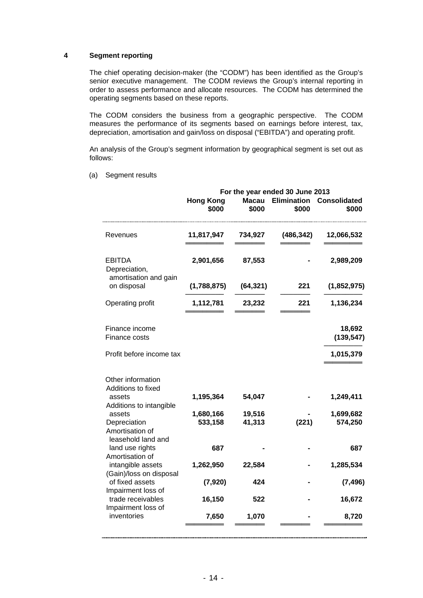#### **4 Segment reporting**

The chief operating decision-maker (the "CODM") has been identified as the Group's senior executive management. The CODM reviews the Group's internal reporting in order to assess performance and allocate resources. The CODM has determined the operating segments based on these reports.

The CODM considers the business from a geographic perspective. The CODM measures the performance of its segments based on earnings before interest, tax, depreciation, amortisation and gain/loss on disposal ("EBITDA") and operating profit.

An analysis of the Group's segment information by geographical segment is set out as follows:

|                                                       | For the year ended 30 June 2013 |                       |                             |                              |
|-------------------------------------------------------|---------------------------------|-----------------------|-----------------------------|------------------------------|
|                                                       | <b>Hong Kong</b><br>\$000       | <b>Macau</b><br>\$000 | <b>Elimination</b><br>\$000 | <b>Consolidated</b><br>\$000 |
| Revenues                                              | 11,817,947                      | 734,927               | (486, 342)                  | 12,066,532                   |
| <b>EBITDA</b><br>Depreciation,                        | 2,901,656                       | 87,553                |                             | 2,989,209                    |
| amortisation and gain<br>on disposal                  | (1,788,875)                     | (64, 321)             | 221                         | (1,852,975)                  |
| Operating profit                                      | 1,112,781                       | 23,232                | 221                         | 1,136,234                    |
| Finance income<br>Finance costs                       |                                 |                       |                             | 18,692<br>(139, 547)         |
| Profit before income tax                              |                                 |                       |                             | 1,015,379                    |
| Other information<br>Additions to fixed<br>assets     | 1,195,364                       | 54,047                |                             | 1,249,411                    |
| Additions to intangible<br>assets                     | 1,680,166                       | 19,516                |                             | 1,699,682                    |
| Depreciation<br>Amortisation of<br>leasehold land and | 533,158                         | 41,313                | (221)                       | 574,250                      |
| land use rights<br>Amortisation of                    | 687                             |                       |                             | 687                          |
| intangible assets<br>(Gain)/loss on disposal          | 1,262,950                       | 22,584                |                             | 1,285,534                    |
| of fixed assets<br>Impairment loss of                 | (7, 920)                        | 424                   |                             | (7, 496)                     |
| trade receivables                                     | 16,150                          | 522                   |                             | 16,672                       |
| Impairment loss of<br>inventories                     | 7,650                           | 1,070                 |                             | 8,720                        |
|                                                       |                                 |                       |                             |                              |

(a) Segment results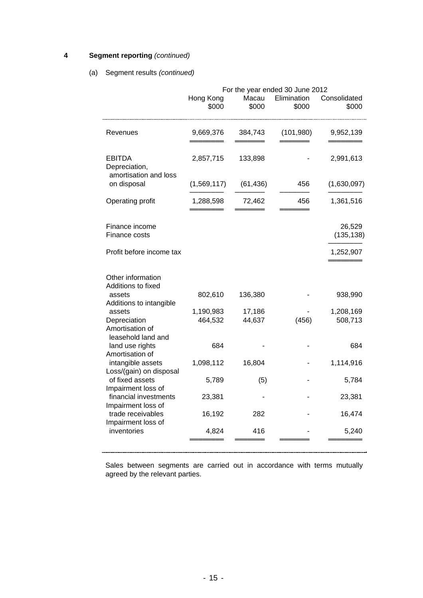### **4 Segment reporting** *(continued)*

#### (a) Segment results *(continued)*

|                                                                 | For the year ended 30 June 2012 |                  |                      |                       |
|-----------------------------------------------------------------|---------------------------------|------------------|----------------------|-----------------------|
|                                                                 | Hong Kong<br>\$000              | Macau<br>\$000   | Elimination<br>\$000 | Consolidated<br>\$000 |
| Revenues                                                        | 9,669,376                       | 384,743          | (101, 980)           | 9,952,139             |
| EBITDA<br>Depreciation,                                         | 2,857,715                       | 133,898          |                      | 2,991,613             |
| amortisation and loss<br>on disposal                            | (1,569,117)                     | (61, 436)        | 456                  | (1,630,097)           |
| Operating profit                                                | 1,288,598                       | 72,462           | 456                  | 1,361,516             |
| Finance income<br>Finance costs                                 |                                 |                  |                      | 26,529<br>(135, 138)  |
| Profit before income tax                                        |                                 |                  |                      | 1,252,907             |
| Other information<br>Additions to fixed                         |                                 |                  |                      |                       |
| assets<br>Additions to intangible                               | 802,610                         | 136,380          |                      | 938,990               |
| assets<br>Depreciation<br>Amortisation of<br>leasehold land and | 1,190,983<br>464,532            | 17,186<br>44,637 | (456)                | 1,208,169<br>508,713  |
| land use rights<br>Amortisation of                              | 684                             |                  |                      | 684                   |
| intangible assets<br>Loss/(gain) on disposal                    | 1,098,112                       | 16,804           |                      | 1,114,916             |
| of fixed assets<br>Impairment loss of                           | 5,789                           | (5)              |                      | 5,784                 |
| financial investments<br>Impairment loss of                     | 23,381                          |                  |                      | 23,381                |
| trade receivables<br>Impairment loss of                         | 16,192                          | 282              |                      | 16,474                |
| inventories                                                     | 4,824                           | 416              |                      | 5,240                 |
|                                                                 |                                 |                  |                      |                       |

Sales between segments are carried out in accordance with terms mutually agreed by the relevant parties.

L.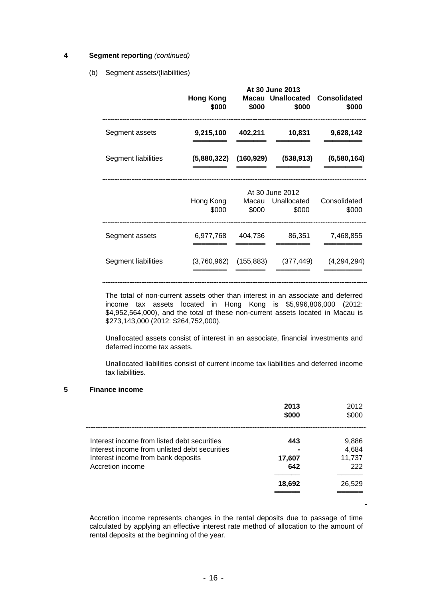#### **4 Segment reporting** *(continued)*

#### (b) Segment assets/(liabilities)

|                     | <b>Hong Kong</b><br>\$000 | \$000          | At 30 June 2013<br>\$000                | <b>Macau Unallocated Consolidated</b><br>\$000 |
|---------------------|---------------------------|----------------|-----------------------------------------|------------------------------------------------|
| Segment assets      | 9,215,100                 | 402,211        | 10,831                                  | 9,628,142                                      |
| Segment liabilities | (5,880,322)               | (160, 929)     | (538, 913)                              | (6,580,164)                                    |
|                     | Hong Kong<br>\$000        | Macau<br>\$000 | At 30 June 2012<br>Unallocated<br>\$000 | Consolidated<br>\$000                          |
| Segment assets      | 6,977,768                 | 404,736        | 86,351                                  | 7,468,855                                      |
| Segment liabilities | (3,760,962)               | (155, 883)     | (377, 449)                              | (4,294,294)                                    |

The total of non-current assets other than interest in an associate and deferred income tax assets located in Hong Kong is \$5,996,806,000 (2012: \$4,952,564,000), and the total of these non-current assets located in Macau is \$273,143,000 (2012: \$264,752,000).

Unallocated assets consist of interest in an associate, financial investments and deferred income tax assets.

Unallocated liabilities consist of current income tax liabilities and deferred income tax liabilities.

#### **5 Finance income**

| 9,886<br>443<br>4,684<br>11,737<br>17,607<br>222<br>642 |
|---------------------------------------------------------|
| 26,529<br>18,692                                        |
|                                                         |

Accretion income represents changes in the rental deposits due to passage of time calculated by applying an effective interest rate method of allocation to the amount of rental deposits at the beginning of the year.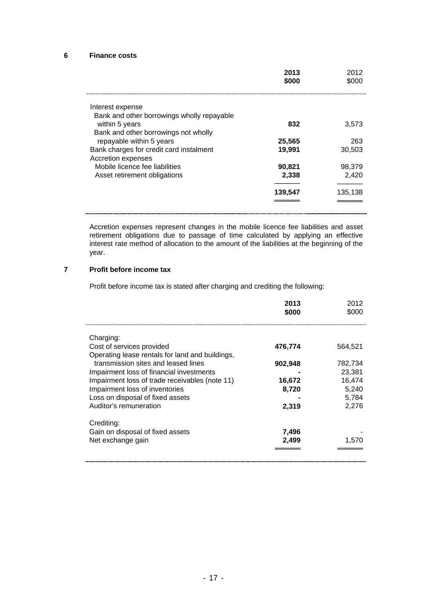#### **6 Finance costs**

|                                            | 2013<br>\$000 | 2012<br>\$000 |
|--------------------------------------------|---------------|---------------|
| Interest expense                           |               |               |
| Bank and other borrowings wholly repayable |               |               |
| within 5 years                             | 832           | 3,573         |
| Bank and other borrowings not wholly       |               |               |
| repayable within 5 years                   | 25,565        | 263           |
| Bank charges for credit card instalment    | 19,991        | 30,503        |
| Accretion expenses                         |               |               |
| Mobile licence fee liabilities             | 90,821        | 98,379        |
| Asset retirement obligations               | 2,338         | 2,420         |
|                                            | 139,547       | 135,138       |
|                                            |               |               |

Accretion expenses represent changes in the mobile licence fee liabilities and asset retirement obligations due to passage of time calculated by applying an effective interest rate method of allocation to the amount of the liabilities at the beginning of the year.

### **7 Profit before income tax**

Profit before income tax is stated after charging and crediting the following:

|                                                 | 2013<br>\$000 | 2012<br>\$000 |
|-------------------------------------------------|---------------|---------------|
| Charging:                                       |               |               |
| Cost of services provided                       | 476.774       | 564.521       |
| Operating lease rentals for land and buildings, |               |               |
| transmission sites and leased lines             | 902,948       | 782,734       |
| Impairment loss of financial investments        |               | 23,381        |
| Impairment loss of trade receivables (note 11)  | 16,672        | 16,474        |
| Impairment loss of inventories                  | 8,720         | 5,240         |
| Loss on disposal of fixed assets                |               | 5,784         |
| Auditor's remuneration                          | 2,319         | 2,276         |
| Crediting:                                      |               |               |
| Gain on disposal of fixed assets                | 7,496         |               |
| Net exchange gain                               | 2,499         | 1,570         |
|                                                 |               |               |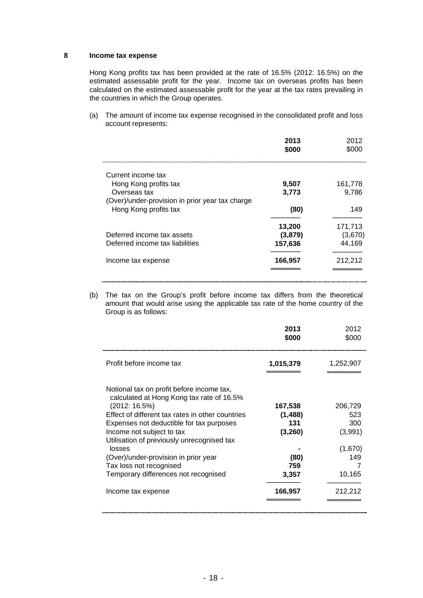### **8 Income tax expense**

Hong Kong profits tax has been provided at the rate of 16.5% (2012: 16.5%) on the estimated assessable profit for the year. Income tax on overseas profits has been calculated on the estimated assessable profit for the year at the tax rates prevailing in the countries in which the Group operates.

(a) The amount of income tax expense recognised in the consolidated profit and loss account represents:

|                                                 | 2013<br>\$000 | 2012<br>\$000 |
|-------------------------------------------------|---------------|---------------|
| Current income tax                              |               |               |
| Hong Kong profits tax                           | 9,507         | 161,778       |
| Overseas tax                                    | 3,773         | 9,786         |
| (Over)/under-provision in prior year tax charge |               |               |
| Hong Kong profits tax                           | (80)          | 149           |
|                                                 | 13,200        | 171,713       |
| Deferred income tax assets                      | (3,879)       | (3,670)       |
| Deferred income tax liabilities                 | 157,636       | 44,169        |
| Income tax expense                              | 166,957       | 212,212       |
|                                                 |               |               |

(b) The tax on the Group's profit before income tax differs from the theoretical amount that would arise using the applicable tax rate of the home country of the Group is as follows:

|                                                                                                                                                                                                                                                                                                                                                                                                                               | 2013<br>\$000                                                            | 2012<br>\$000                                                           |
|-------------------------------------------------------------------------------------------------------------------------------------------------------------------------------------------------------------------------------------------------------------------------------------------------------------------------------------------------------------------------------------------------------------------------------|--------------------------------------------------------------------------|-------------------------------------------------------------------------|
| Profit before income tax                                                                                                                                                                                                                                                                                                                                                                                                      | 1,015,379                                                                | 1,252,907                                                               |
| Notional tax on profit before income tax,<br>calculated at Hong Kong tax rate of 16.5%<br>(2012: 16.5%)<br>Effect of different tax rates in other countries<br>Expenses not deductible for tax purposes<br>Income not subject to tax<br>Utilisation of previously unrecognised tax<br>losses<br>(Over)/under-provision in prior year<br>Tax loss not recognised<br>Temporary differences not recognised<br>Income tax expense | 167,538<br>(1, 488)<br>131<br>(3,260)<br>(80)<br>759<br>3,357<br>166,957 | 206,729<br>523<br>300<br>(3,991)<br>(1,670)<br>149<br>10,165<br>212,212 |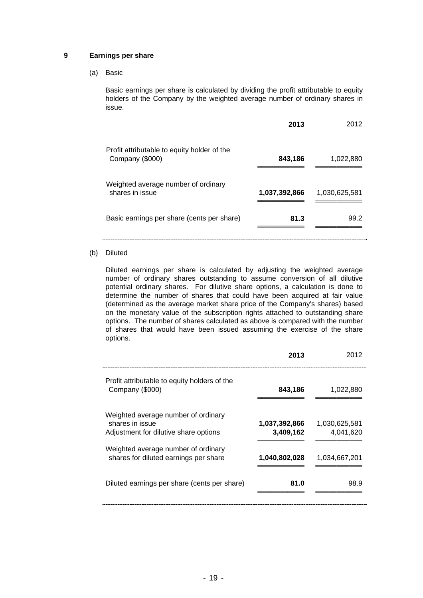#### **9 Earnings per share**

(a) Basic

Basic earnings per share is calculated by dividing the profit attributable to equity holders of the Company by the weighted average number of ordinary shares in issue.

|                                                                | 2013          | 2012          |
|----------------------------------------------------------------|---------------|---------------|
| Profit attributable to equity holder of the<br>Company (\$000) | 843,186       | 1,022,880     |
| Weighted average number of ordinary<br>shares in issue         | 1,037,392,866 | 1,030,625,581 |
| Basic earnings per share (cents per share)                     | 81.3          | 99.2          |

#### (b) Diluted

Diluted earnings per share is calculated by adjusting the weighted average number of ordinary shares outstanding to assume conversion of all dilutive potential ordinary shares. For dilutive share options, a calculation is done to determine the number of shares that could have been acquired at fair value (determined as the average market share price of the Company's shares) based on the monetary value of the subscription rights attached to outstanding share options. The number of shares calculated as above is compared with the number of shares that would have been issued assuming the exercise of the share options.

|                                                                                                 | 2013                       | 2012                       |
|-------------------------------------------------------------------------------------------------|----------------------------|----------------------------|
| Profit attributable to equity holders of the<br>Company (\$000)                                 | 843,186                    | 1,022,880                  |
| Weighted average number of ordinary<br>shares in issue<br>Adjustment for dilutive share options | 1,037,392,866<br>3,409,162 | 1,030,625,581<br>4,041,620 |
| Weighted average number of ordinary<br>shares for diluted earnings per share                    | 1,040,802,028              | 1,034,667,201              |
| Diluted earnings per share (cents per share)                                                    | 81.0                       | 98.9                       |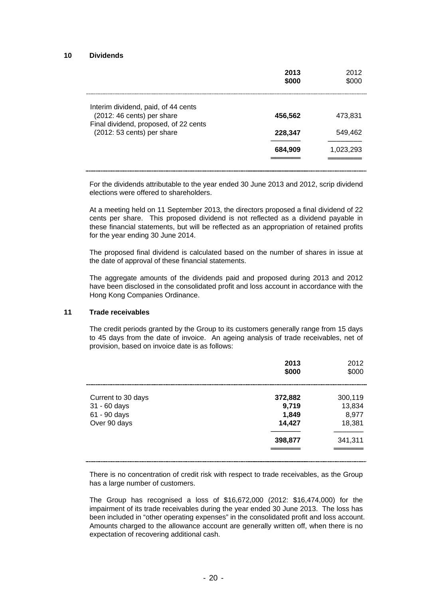#### **10 Dividends**

|                                                                     | 2013<br>\$000 | 2012<br>\$000 |
|---------------------------------------------------------------------|---------------|---------------|
| Interim dividend, paid, of 44 cents<br>(2012: 46 cents) per share   | 456,562       | 473,831       |
| Final dividend, proposed, of 22 cents<br>(2012: 53 cents) per share | 228,347       | 549,462       |
|                                                                     | 684,909       | 1,023,293     |
|                                                                     |               |               |

For the dividends attributable to the year ended 30 June 2013 and 2012, scrip dividend elections were offered to shareholders.

At a meeting held on 11 September 2013, the directors proposed a final dividend of 22 cents per share. This proposed dividend is not reflected as a dividend payable in these financial statements, but will be reflected as an appropriation of retained profits for the year ending 30 June 2014.

The proposed final dividend is calculated based on the number of shares in issue at the date of approval of these financial statements.

The aggregate amounts of the dividends paid and proposed during 2013 and 2012 have been disclosed in the consolidated profit and loss account in accordance with the Hong Kong Companies Ordinance.

#### **11 Trade receivables**

The credit periods granted by the Group to its customers generally range from 15 days to 45 days from the date of invoice. An ageing analysis of trade receivables, net of provision, based on invoice date is as follows:

|                                                                    | 2013<br>\$000                       | 2012<br>\$000                        |
|--------------------------------------------------------------------|-------------------------------------|--------------------------------------|
| Current to 30 days<br>31 - 60 days<br>61 - 90 days<br>Over 90 days | 372,882<br>9,719<br>1,849<br>14,427 | 300,119<br>13,834<br>8,977<br>18,381 |
|                                                                    | 398,877                             | 341,311                              |

There is no concentration of credit risk with respect to trade receivables, as the Group has a large number of customers.

The Group has recognised a loss of \$16,672,000 (2012: \$16,474,000) for the impairment of its trade receivables during the year ended 30 June 2013. The loss has been included in "other operating expenses" in the consolidated profit and loss account. Amounts charged to the allowance account are generally written off, when there is no expectation of recovering additional cash.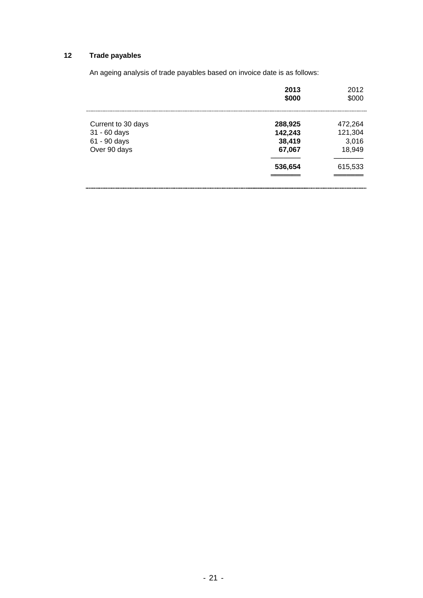# **12 Trade payables**

An ageing analysis of trade payables based on invoice date is as follows:

|                                                                    | 2013<br>\$000                                     | 2012<br>\$000                                    |
|--------------------------------------------------------------------|---------------------------------------------------|--------------------------------------------------|
| Current to 30 days<br>31 - 60 days<br>61 - 90 days<br>Over 90 days | 288,925<br>142,243<br>38,419<br>67,067<br>536,654 | 472,264<br>121,304<br>3,016<br>18,949<br>615,533 |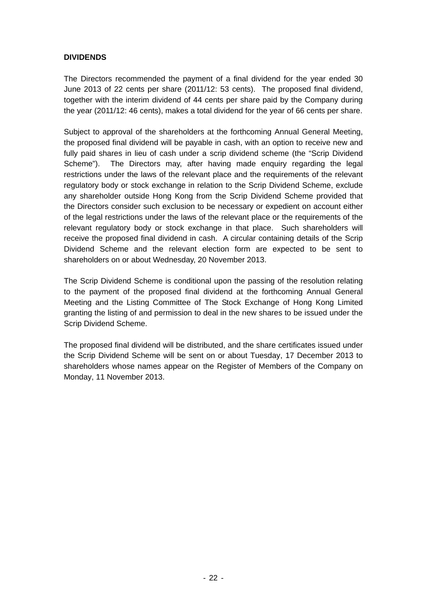### **DIVIDENDS**

The Directors recommended the payment of a final dividend for the year ended 30 June 2013 of 22 cents per share (2011/12: 53 cents). The proposed final dividend, together with the interim dividend of 44 cents per share paid by the Company during the year (2011/12: 46 cents), makes a total dividend for the year of 66 cents per share.

Subject to approval of the shareholders at the forthcoming Annual General Meeting, the proposed final dividend will be payable in cash, with an option to receive new and fully paid shares in lieu of cash under a scrip dividend scheme (the "Scrip Dividend Scheme"). The Directors may, after having made enquiry regarding the legal restrictions under the laws of the relevant place and the requirements of the relevant regulatory body or stock exchange in relation to the Scrip Dividend Scheme, exclude any shareholder outside Hong Kong from the Scrip Dividend Scheme provided that the Directors consider such exclusion to be necessary or expedient on account either of the legal restrictions under the laws of the relevant place or the requirements of the relevant regulatory body or stock exchange in that place. Such shareholders will receive the proposed final dividend in cash. A circular containing details of the Scrip Dividend Scheme and the relevant election form are expected to be sent to shareholders on or about Wednesday, 20 November 2013.

The Scrip Dividend Scheme is conditional upon the passing of the resolution relating to the payment of the proposed final dividend at the forthcoming Annual General Meeting and the Listing Committee of The Stock Exchange of Hong Kong Limited granting the listing of and permission to deal in the new shares to be issued under the Scrip Dividend Scheme.

The proposed final dividend will be distributed, and the share certificates issued under the Scrip Dividend Scheme will be sent on or about Tuesday, 17 December 2013 to shareholders whose names appear on the Register of Members of the Company on Monday, 11 November 2013.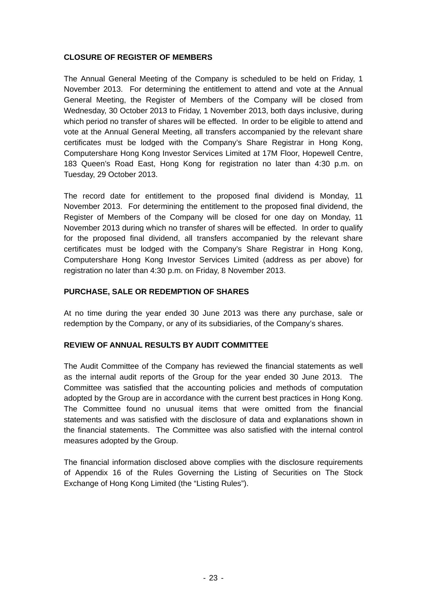### **CLOSURE OF REGISTER OF MEMBERS**

The Annual General Meeting of the Company is scheduled to be held on Friday, 1 November 2013. For determining the entitlement to attend and vote at the Annual General Meeting, the Register of Members of the Company will be closed from Wednesday, 30 October 2013 to Friday, 1 November 2013, both days inclusive, during which period no transfer of shares will be effected. In order to be eligible to attend and vote at the Annual General Meeting, all transfers accompanied by the relevant share certificates must be lodged with the Company's Share Registrar in Hong Kong, Computershare Hong Kong Investor Services Limited at 17M Floor, Hopewell Centre, 183 Queen's Road East, Hong Kong for registration no later than 4:30 p.m. on Tuesday, 29 October 2013.

The record date for entitlement to the proposed final dividend is Monday, 11 November 2013. For determining the entitlement to the proposed final dividend, the Register of Members of the Company will be closed for one day on Monday, 11 November 2013 during which no transfer of shares will be effected. In order to qualify for the proposed final dividend, all transfers accompanied by the relevant share certificates must be lodged with the Company's Share Registrar in Hong Kong, Computershare Hong Kong Investor Services Limited (address as per above) for registration no later than 4:30 p.m. on Friday, 8 November 2013.

### **PURCHASE, SALE OR REDEMPTION OF SHARES**

At no time during the year ended 30 June 2013 was there any purchase, sale or redemption by the Company, or any of its subsidiaries, of the Company's shares.

### **REVIEW OF ANNUAL RESULTS BY AUDIT COMMITTEE**

The Audit Committee of the Company has reviewed the financial statements as well as the internal audit reports of the Group for the year ended 30 June 2013. The Committee was satisfied that the accounting policies and methods of computation adopted by the Group are in accordance with the current best practices in Hong Kong. The Committee found no unusual items that were omitted from the financial statements and was satisfied with the disclosure of data and explanations shown in the financial statements. The Committee was also satisfied with the internal control measures adopted by the Group.

The financial information disclosed above complies with the disclosure requirements of Appendix 16 of the Rules Governing the Listing of Securities on The Stock Exchange of Hong Kong Limited (the "Listing Rules").